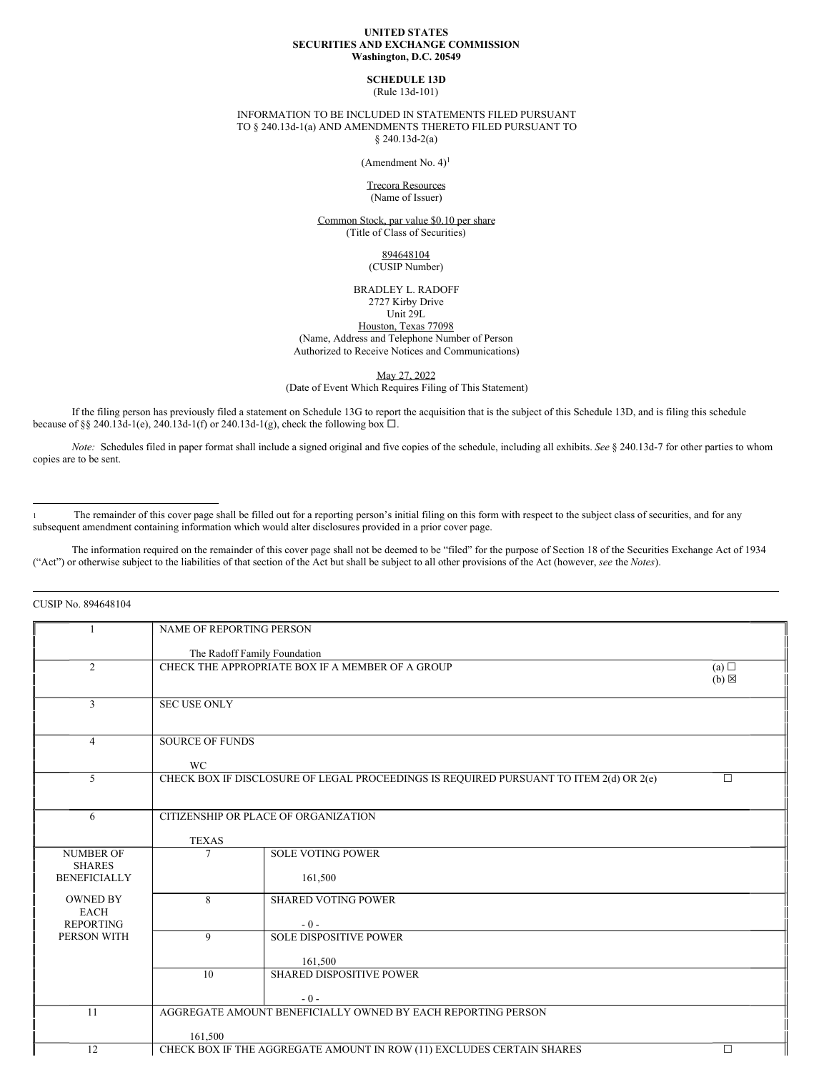#### **UNITED STATES SECURITIES AND EXCHANGE COMMISSION Washington, D.C. 20549**

# **SCHEDULE 13D**

(Rule 13d-101)

#### INFORMATION TO BE INCLUDED IN STATEMENTS FILED PURSUANT TO § 240.13d-1(a) AND AMENDMENTS THERETO FILED PURSUANT TO § 240.13d-2(a)

(Amendment No. 4) 1

Trecora Resources (Name of Issuer)

Common Stock, par value \$0.10 per share (Title of Class of Securities)

> 894648104 (CUSIP Number)

BRADLEY L. RADOFF 2727 Kirby Drive Unit 29L

Houston, Texas 77098 (Name, Address and Telephone Number of Person Authorized to Receive Notices and Communications)

May 27, 2022

(Date of Event Which Requires Filing of This Statement)

If the filing person has previously filed a statement on Schedule 13G to report the acquisition that is the subject of this Schedule 13D, and is filing this schedule because of §§ 240.13d-1(e), 240.13d-1(f) or 240.13d-1(g), check the following box  $\Box$ .

*Note:* Schedules filed in paper format shall include a signed original and five copies of the schedule, including all exhibits. *See* § 240.13d-7 for other parties to whom copies are to be sent.

The remainder of this cover page shall be filled out for a reporting person's initial filing on this form with respect to the subject class of securities, and for any subsequent amendment containing information which would alter disclosures provided in a prior cover page.

The information required on the remainder of this cover page shall not be deemed to be "filed" for the purpose of Section 18 of the Securities Exchange Act of 1934 ("Act") or otherwise subject to the liabilities of that section of the Act but shall be subject to all other provisions of the Act (however, *see* the *Notes*).

CUSIP No. 894648104

|                     | NAME OF REPORTING PERSON |                                                                                        |                 |  |
|---------------------|--------------------------|----------------------------------------------------------------------------------------|-----------------|--|
|                     |                          |                                                                                        |                 |  |
|                     |                          | The Radoff Family Foundation                                                           |                 |  |
| $\overline{2}$      |                          | CHECK THE APPROPRIATE BOX IF A MEMBER OF A GROUP                                       | (a)             |  |
|                     |                          |                                                                                        | $(b) \boxtimes$ |  |
|                     |                          |                                                                                        |                 |  |
| $\overline{3}$      | <b>SEC USE ONLY</b>      |                                                                                        |                 |  |
|                     |                          |                                                                                        |                 |  |
|                     |                          |                                                                                        |                 |  |
| 4                   | <b>SOURCE OF FUNDS</b>   |                                                                                        |                 |  |
|                     | <b>WC</b>                |                                                                                        |                 |  |
| 5                   |                          | CHECK BOX IF DISCLOSURE OF LEGAL PROCEEDINGS IS REQUIRED PURSUANT TO ITEM 2(d) OR 2(e) | $\Box$          |  |
|                     |                          |                                                                                        |                 |  |
|                     |                          |                                                                                        |                 |  |
| 6                   |                          | CITIZENSHIP OR PLACE OF ORGANIZATION                                                   |                 |  |
|                     |                          |                                                                                        |                 |  |
|                     | <b>TEXAS</b>             |                                                                                        |                 |  |
| <b>NUMBER OF</b>    | $\overline{7}$           | <b>SOLE VOTING POWER</b>                                                               |                 |  |
| <b>SHARES</b>       |                          |                                                                                        |                 |  |
| <b>BENEFICIALLY</b> |                          | 161,500                                                                                |                 |  |
|                     |                          |                                                                                        |                 |  |
| <b>OWNED BY</b>     | 8                        | <b>SHARED VOTING POWER</b>                                                             |                 |  |
| <b>EACH</b>         |                          |                                                                                        |                 |  |
| <b>REPORTING</b>    |                          | $-0-$                                                                                  |                 |  |
| PERSON WITH         | 9                        | <b>SOLE DISPOSITIVE POWER</b>                                                          |                 |  |
|                     |                          |                                                                                        |                 |  |
|                     |                          | 161,500<br><b>SHARED DISPOSITIVE POWER</b>                                             |                 |  |
|                     | 10                       |                                                                                        |                 |  |
|                     |                          | $-0-$                                                                                  |                 |  |
| 11                  |                          | AGGREGATE AMOUNT BENEFICIALLY OWNED BY EACH REPORTING PERSON                           |                 |  |
|                     |                          |                                                                                        |                 |  |
|                     | 161,500                  |                                                                                        |                 |  |
| 12                  |                          | CHECK BOX IF THE AGGREGATE AMOUNT IN ROW (11) EXCLUDES CERTAIN SHARES                  | $\Box$          |  |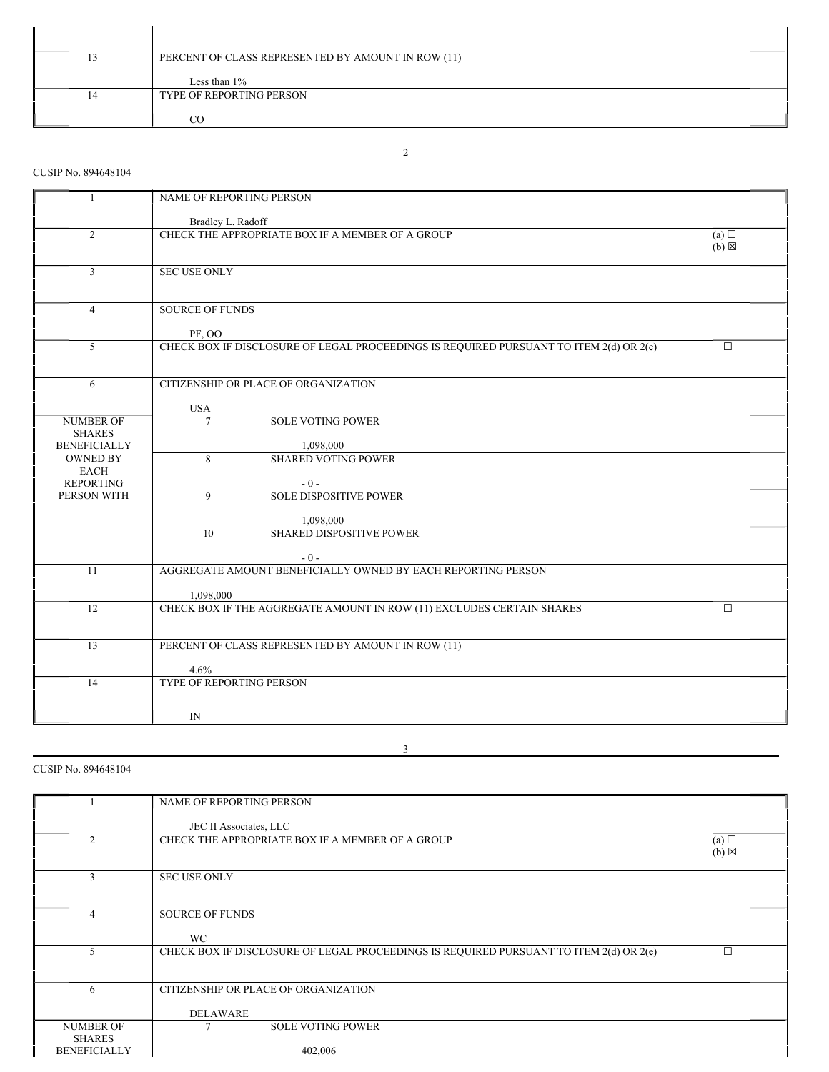|    | PERCENT OF CLASS REPRESENTED BY AMOUNT IN ROW (11) |
|----|----------------------------------------------------|
|    | Less than $1\%$                                    |
| 14 | TYPE OF REPORTING PERSON                           |
|    | റ                                                  |

2

# CUSIP No. 894648104

| $\mathbf{1}$                                             | NAME OF REPORTING PERSON                                   |                                                                                        |        |  |  |  |
|----------------------------------------------------------|------------------------------------------------------------|----------------------------------------------------------------------------------------|--------|--|--|--|
|                                                          | Bradley L. Radoff                                          |                                                                                        |        |  |  |  |
| $\overline{2}$                                           |                                                            | CHECK THE APPROPRIATE BOX IF A MEMBER OF A GROUP<br>(a)<br>$(b) \boxtimes$             |        |  |  |  |
| 3                                                        | <b>SEC USE ONLY</b>                                        |                                                                                        |        |  |  |  |
| $\overline{4}$                                           | PF, OO                                                     | <b>SOURCE OF FUNDS</b>                                                                 |        |  |  |  |
| 5                                                        |                                                            | CHECK BOX IF DISCLOSURE OF LEGAL PROCEEDINGS IS REQUIRED PURSUANT TO ITEM 2(d) OR 2(e) | $\Box$ |  |  |  |
| 6                                                        | <b>USA</b>                                                 | CITIZENSHIP OR PLACE OF ORGANIZATION                                                   |        |  |  |  |
| <b>NUMBER OF</b><br><b>SHARES</b><br><b>BENEFICIALLY</b> | $\tau$                                                     | <b>SOLE VOTING POWER</b><br>1,098,000                                                  |        |  |  |  |
| <b>OWNED BY</b><br><b>EACH</b><br><b>REPORTING</b>       | 8                                                          | <b>SHARED VOTING POWER</b><br>$-0-$                                                    |        |  |  |  |
| PERSON WITH                                              | 9                                                          | <b>SOLE DISPOSITIVE POWER</b><br>1,098,000                                             |        |  |  |  |
|                                                          | 10                                                         | SHARED DISPOSITIVE POWER<br>$-0-$                                                      |        |  |  |  |
| 11                                                       | 1,098,000                                                  | AGGREGATE AMOUNT BENEFICIALLY OWNED BY EACH REPORTING PERSON                           |        |  |  |  |
| 12                                                       |                                                            | CHECK BOX IF THE AGGREGATE AMOUNT IN ROW (11) EXCLUDES CERTAIN SHARES                  | $\Box$ |  |  |  |
| $\overline{13}$                                          | PERCENT OF CLASS REPRESENTED BY AMOUNT IN ROW (11)<br>4.6% |                                                                                        |        |  |  |  |
| 14                                                       | TYPE OF REPORTING PERSON                                   |                                                                                        |        |  |  |  |
|                                                          | IN                                                         |                                                                                        |        |  |  |  |

3

# CUSIP No. 894648104

|                     | NAME OF REPORTING PERSON |                                                                                        |                 |
|---------------------|--------------------------|----------------------------------------------------------------------------------------|-----------------|
|                     |                          |                                                                                        |                 |
|                     |                          |                                                                                        |                 |
|                     | JEC II Associates, LLC   |                                                                                        |                 |
| $\mathfrak{D}$      |                          | CHECK THE APPROPRIATE BOX IF A MEMBER OF A GROUP                                       | (a)             |
|                     |                          |                                                                                        | $(b) \boxtimes$ |
|                     |                          |                                                                                        |                 |
|                     |                          |                                                                                        |                 |
| 3                   | <b>SEC USE ONLY</b>      |                                                                                        |                 |
|                     |                          |                                                                                        |                 |
|                     |                          |                                                                                        |                 |
| $\overline{4}$      | <b>SOURCE OF FUNDS</b>   |                                                                                        |                 |
|                     |                          |                                                                                        |                 |
|                     | <b>WC</b>                |                                                                                        |                 |
|                     |                          |                                                                                        | г               |
|                     |                          | CHECK BOX IF DISCLOSURE OF LEGAL PROCEEDINGS IS REQUIRED PURSUANT TO ITEM 2(d) OR 2(e) |                 |
|                     |                          |                                                                                        |                 |
|                     |                          |                                                                                        |                 |
| 6                   |                          | CITIZENSHIP OR PLACE OF ORGANIZATION                                                   |                 |
|                     |                          |                                                                                        |                 |
|                     | <b>DELAWARE</b>          |                                                                                        |                 |
| <b>NUMBER OF</b>    |                          | <b>SOLE VOTING POWER</b>                                                               |                 |
|                     |                          |                                                                                        |                 |
| <b>SHARES</b>       |                          |                                                                                        |                 |
| <b>BENEFICIALLY</b> |                          | 402,006                                                                                |                 |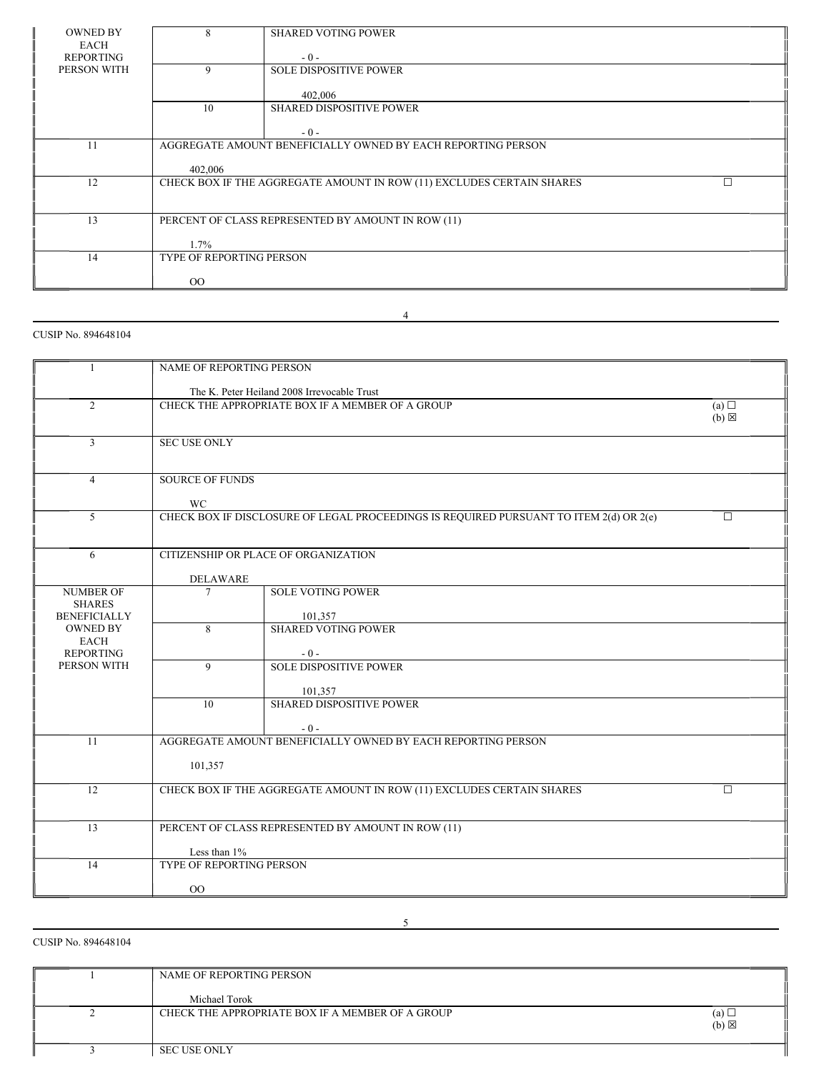| <b>OWNED BY</b> | $\mathbf{8}$                    | <b>SHARED VOTING POWER</b>                                            |  |  |  |
|-----------------|---------------------------------|-----------------------------------------------------------------------|--|--|--|
| EACH            |                                 |                                                                       |  |  |  |
| REPORTING       |                                 | $-0-$                                                                 |  |  |  |
| PERSON WITH     | 9                               | <b>SOLE DISPOSITIVE POWER</b>                                         |  |  |  |
|                 |                                 |                                                                       |  |  |  |
|                 |                                 | 402,006                                                               |  |  |  |
|                 | 10                              | <b>SHARED DISPOSITIVE POWER</b>                                       |  |  |  |
|                 |                                 |                                                                       |  |  |  |
|                 |                                 | $-0-$                                                                 |  |  |  |
| 11              |                                 | AGGREGATE AMOUNT BENEFICIALLY OWNED BY EACH REPORTING PERSON          |  |  |  |
|                 |                                 |                                                                       |  |  |  |
|                 | 402,006                         |                                                                       |  |  |  |
| 12              |                                 | CHECK BOX IF THE AGGREGATE AMOUNT IN ROW (11) EXCLUDES CERTAIN SHARES |  |  |  |
|                 |                                 |                                                                       |  |  |  |
|                 |                                 |                                                                       |  |  |  |
| 13              |                                 | PERCENT OF CLASS REPRESENTED BY AMOUNT IN ROW (11)                    |  |  |  |
|                 |                                 |                                                                       |  |  |  |
|                 | 1.7%                            |                                                                       |  |  |  |
| 14              | <b>TYPE OF REPORTING PERSON</b> |                                                                       |  |  |  |
|                 |                                 |                                                                       |  |  |  |
|                 | $_{\rm OO}$                     |                                                                       |  |  |  |

# 4

# 1 NAME OF REPORTING PERSON The K. Peter Heiland 2008 Irrevocable Trust 2 CHECK THE APPROPRIATE BOX IF A MEMBER OF A GROUP (a) □  $(b) \boxtimes$ 3 SEC USE ONLY 4 SOURCE OF FUNDS WC 5 CHECK BOX IF DISCLOSURE OF LEGAL PROCEEDINGS IS REQUIRED PURSUANT TO ITEM 2(d) OR 2(e) □ 6 CITIZENSHIP OR PLACE OF ORGANIZATION DELAWARE NUMBER OF 7 SOLE VOTING POWER SHARES BENEFICIALLY 101,357 OWNED BY 8 SHARED VOTING POWER EACH REPORTING <br>
PERSON WITH  $\begin{array}{|c|c|c|c|c|}\n\hline\n & 9 & \text{SOLE DISF}\n\end{array}$ 9 SOLE DISPOSITIVE POWER 101,357 10 SHARED DISPOSITIVE POWER - 0 - 11 AGGREGATE AMOUNT BENEFICIALLY OWNED BY EACH REPORTING PERSON 101,357 12 CHECK BOX IF THE AGGREGATE AMOUNT IN ROW (11) EXCLUDES CERTAIN SHARES 13 PERCENT OF CLASS REPRESENTED BY AMOUNT IN ROW (11) Less than  $1\%$ 14 TYPE OF REPORTING PERSON OO

CUSIP No. 894648104

CUSIP No. 894648104

| NAME OF REPORTING PERSON                         |                        |
|--------------------------------------------------|------------------------|
| Michael Torok                                    |                        |
| CHECK THE APPROPRIATE BOX IF A MEMBER OF A GROUP | (a)<br>$(b) \boxtimes$ |
| <b>SEC USE ONLY</b>                              |                        |

5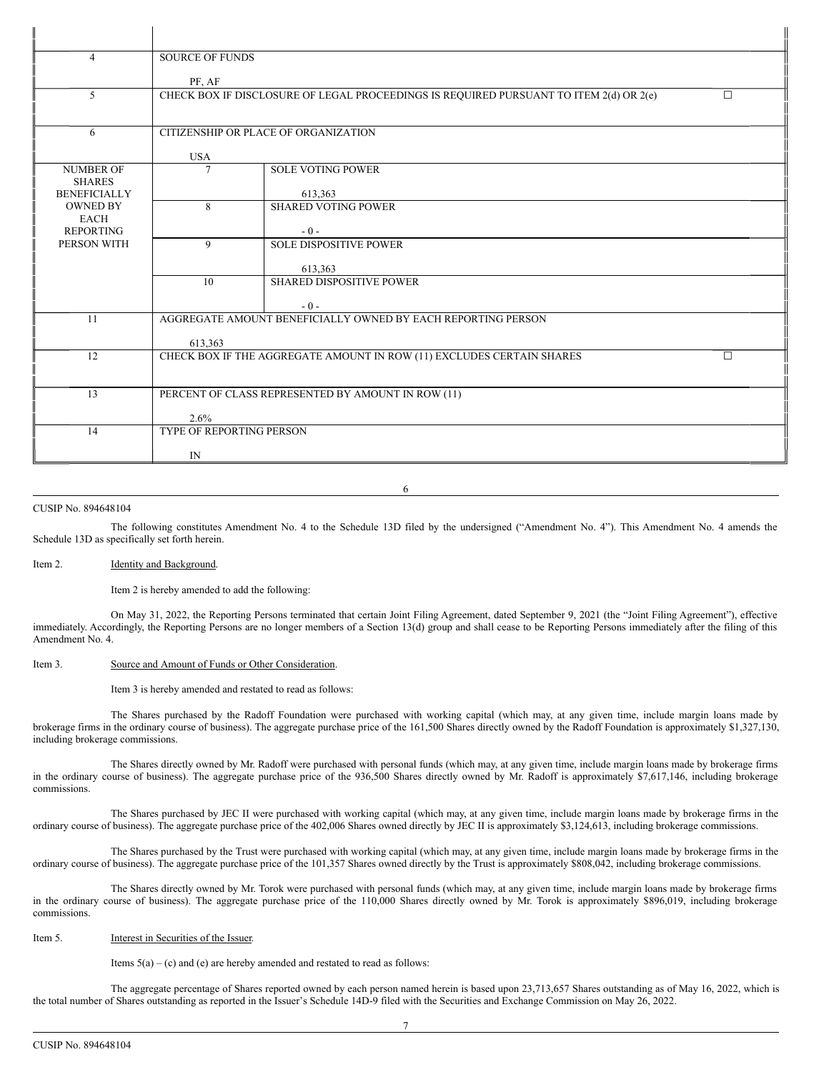| $\overline{4}$                       | <b>SOURCE OF FUNDS</b>                             |                                                                                        |   |  |  |  |
|--------------------------------------|----------------------------------------------------|----------------------------------------------------------------------------------------|---|--|--|--|
|                                      | PF, AF                                             |                                                                                        |   |  |  |  |
| 5                                    |                                                    | CHECK BOX IF DISCLOSURE OF LEGAL PROCEEDINGS IS REQUIRED PURSUANT TO ITEM 2(d) OR 2(e) | п |  |  |  |
|                                      |                                                    |                                                                                        |   |  |  |  |
| 6                                    | CITIZENSHIP OR PLACE OF ORGANIZATION               |                                                                                        |   |  |  |  |
|                                      |                                                    |                                                                                        |   |  |  |  |
|                                      | <b>USA</b>                                         |                                                                                        |   |  |  |  |
| <b>NUMBER OF</b>                     | $\overline{7}$                                     | <b>SOLE VOTING POWER</b>                                                               |   |  |  |  |
| <b>SHARES</b><br><b>BENEFICIALLY</b> |                                                    | 613.363                                                                                |   |  |  |  |
| <b>OWNED BY</b>                      | 8                                                  | <b>SHARED VOTING POWER</b>                                                             |   |  |  |  |
| <b>EACH</b>                          |                                                    |                                                                                        |   |  |  |  |
| <b>REPORTING</b><br>PERSON WITH      | $\mathbf{Q}$                                       | $-0-$<br><b>SOLE DISPOSITIVE POWER</b>                                                 |   |  |  |  |
|                                      |                                                    |                                                                                        |   |  |  |  |
|                                      |                                                    | 613,363                                                                                |   |  |  |  |
|                                      | 10                                                 | <b>SHARED DISPOSITIVE POWER</b>                                                        |   |  |  |  |
|                                      |                                                    | $-0-$                                                                                  |   |  |  |  |
| 11                                   |                                                    | AGGREGATE AMOUNT BENEFICIALLY OWNED BY EACH REPORTING PERSON                           |   |  |  |  |
|                                      |                                                    |                                                                                        |   |  |  |  |
| 12                                   | 613,363                                            | CHECK BOX IF THE AGGREGATE AMOUNT IN ROW (11) EXCLUDES CERTAIN SHARES                  | П |  |  |  |
|                                      |                                                    |                                                                                        |   |  |  |  |
|                                      |                                                    |                                                                                        |   |  |  |  |
| 13                                   | PERCENT OF CLASS REPRESENTED BY AMOUNT IN ROW (11) |                                                                                        |   |  |  |  |
|                                      | $2.6\%$                                            |                                                                                        |   |  |  |  |
| 14                                   | <b>TYPE OF REPORTING PERSON</b>                    |                                                                                        |   |  |  |  |
|                                      | IN                                                 |                                                                                        |   |  |  |  |
|                                      |                                                    |                                                                                        |   |  |  |  |

6

#### CUSIP No. 894648104

The following constitutes Amendment No. 4 to the Schedule 13D filed by the undersigned ("Amendment No. 4"). This Amendment No. 4 amends the Schedule 13D as specifically set forth herein.

## Item 2. **Identity and Background.**

Item 2 is hereby amended to add the following:

On May 31, 2022, the Reporting Persons terminated that certain Joint Filing Agreement, dated September 9, 2021 (the "Joint Filing Agreement"), effective immediately. Accordingly, the Reporting Persons are no longer members of a Section 13(d) group and shall cease to be Reporting Persons immediately after the filing of this Amendment No. 4.

## Item 3. Source and Amount of Funds or Other Consideration.

Item 3 is hereby amended and restated to read as follows:

The Shares purchased by the Radoff Foundation were purchased with working capital (which may, at any given time, include margin loans made by brokerage firms in the ordinary course of business). The aggregate purchase price of the 161,500 Shares directly owned by the Radoff Foundation is approximately \$1,327,130, including brokerage commissions.

The Shares directly owned by Mr. Radoff were purchased with personal funds (which may, at any given time, include margin loans made by brokerage firms in the ordinary course of business). The aggregate purchase price of the 936,500 Shares directly owned by Mr. Radoff is approximately \$7,617,146, including brokerage commissions.

The Shares purchased by JEC II were purchased with working capital (which may, at any given time, include margin loans made by brokerage firms in the ordinary course of business). The aggregate purchase price of the 402,006 Shares owned directly by JEC II is approximately \$3,124,613, including brokerage commissions.

The Shares purchased by the Trust were purchased with working capital (which may, at any given time, include margin loans made by brokerage firms in the ordinary course of business). The aggregate purchase price of the 101,357 Shares owned directly by the Trust is approximately \$808,042, including brokerage commissions.

The Shares directly owned by Mr. Torok were purchased with personal funds (which may, at any given time, include margin loans made by brokerage firms in the ordinary course of business). The aggregate purchase price of the 110,000 Shares directly owned by Mr. Torok is approximately \$896,019, including brokerage commissions.

#### Item 5. **Interest in Securities of the Issuer.**

Items  $5(a) - (c)$  and (e) are hereby amended and restated to read as follows:

The aggregate percentage of Shares reported owned by each person named herein is based upon 23,713,657 Shares outstanding as of May 16, 2022, which is the total number of Shares outstanding as reported in the Issuer's Schedule 14D-9 filed with the Securities and Exchange Commission on May 26, 2022.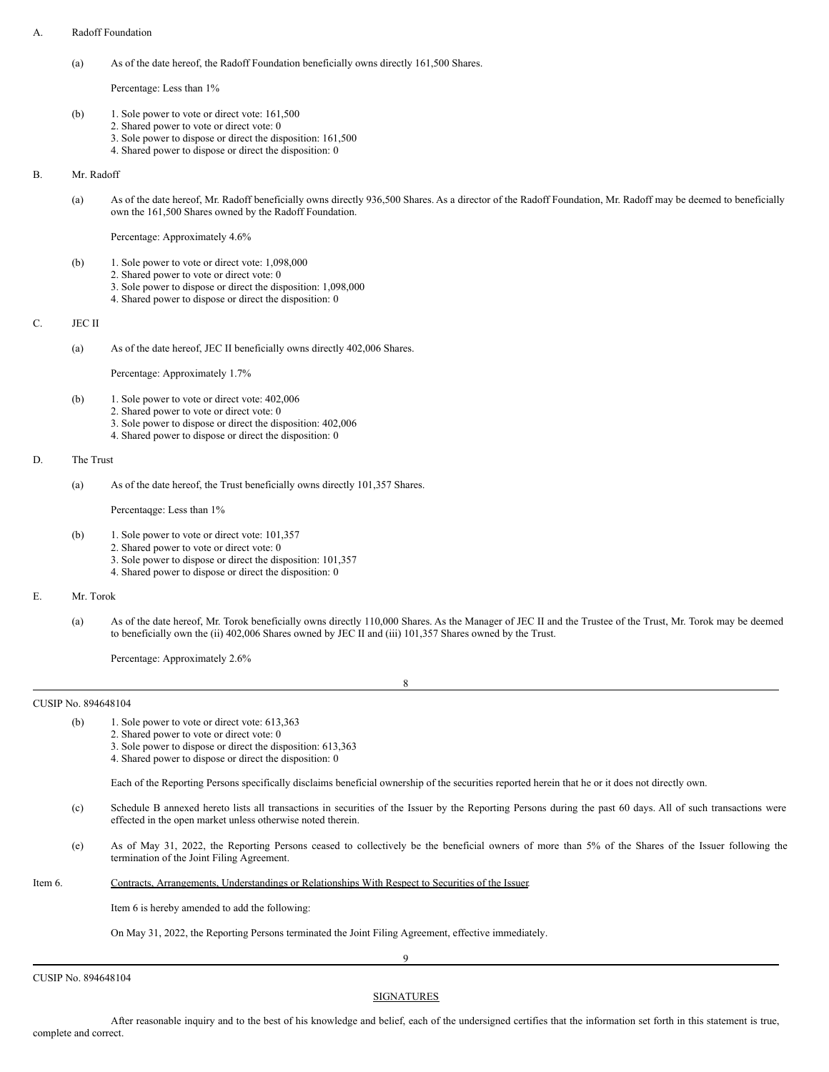## A. Radoff Foundation

Percentage: Less than 1%

- (b) 1. Sole power to vote or direct vote: 161,500
	- 2. Shared power to vote or direct vote: 0
	- 3. Sole power to dispose or direct the disposition: 161,500
	- 4. Shared power to dispose or direct the disposition: 0

B. Mr. Radoff

(a) As of the date hereof, Mr. Radoff beneficially owns directly 936,500 Shares. As a director of the Radoff Foundation, Mr. Radoff may be deemed to beneficially own the 161,500 Shares owned by the Radoff Foundation.

Percentage: Approximately 4.6%

- (b) 1. Sole power to vote or direct vote: 1,098,000
	- 2. Shared power to vote or direct vote: 0
		- 3. Sole power to dispose or direct the disposition: 1,098,000
		- 4. Shared power to dispose or direct the disposition: 0

# C. JEC II

(a) As of the date hereof, JEC II beneficially owns directly 402,006 Shares.

Percentage: Approximately 1.7%

- (b) 1. Sole power to vote or direct vote: 402,006
	- 2. Shared power to vote or direct vote: 0
		- 3. Sole power to dispose or direct the disposition: 402,006
		- 4. Shared power to dispose or direct the disposition: 0

# D. The Trust

(a) As of the date hereof, the Trust beneficially owns directly 101,357 Shares.

#### Percentaqge: Less than 1%

- (b) 1. Sole power to vote or direct vote: 101,357
	- 2. Shared power to vote or direct vote: 0
		- 3. Sole power to dispose or direct the disposition: 101,357
		- 4. Shared power to dispose or direct the disposition: 0

# E. Mr. Torok

(a) As of the date hereof, Mr. Torok beneficially owns directly 110,000 Shares. As the Manager of JEC II and the Trustee of the Trust, Mr. Torok may be deemed to beneficially own the (ii) 402,006 Shares owned by JEC II and (iii) 101,357 Shares owned by the Trust.

Percentage: Approximately 2.6%

CUSIP No. 894648104

- (b) 1. Sole power to vote or direct vote: 613,363
	- 2. Shared power to vote or direct vote: 0
	- 3. Sole power to dispose or direct the disposition: 613,363
	- 4. Shared power to dispose or direct the disposition: 0

Each of the Reporting Persons specifically disclaims beneficial ownership of the securities reported herein that he or it does not directly own.

8

- (c) Schedule B annexed hereto lists all transactions in securities of the Issuer by the Reporting Persons during the past 60 days. All of such transactions were effected in the open market unless otherwise noted therein.
- (e) As of May 31, 2022, the Reporting Persons ceased to collectively be the beneficial owners of more than 5% of the Shares of the Issuer following the termination of the Joint Filing Agreement.

| Item 6. | Contracts, Arrangements, Understandings or Relationships With Respect to Securities of the Issuer. |  |
|---------|----------------------------------------------------------------------------------------------------|--|
|         |                                                                                                    |  |

Item 6 is hereby amended to add the following:

On May 31, 2022, the Reporting Persons terminated the Joint Filing Agreement, effective immediately.

9

CUSIP No. 894648104

**SIGNATURES** 

After reasonable inquiry and to the best of his knowledge and belief, each of the undersigned certifies that the information set forth in this statement is true, complete and correct.